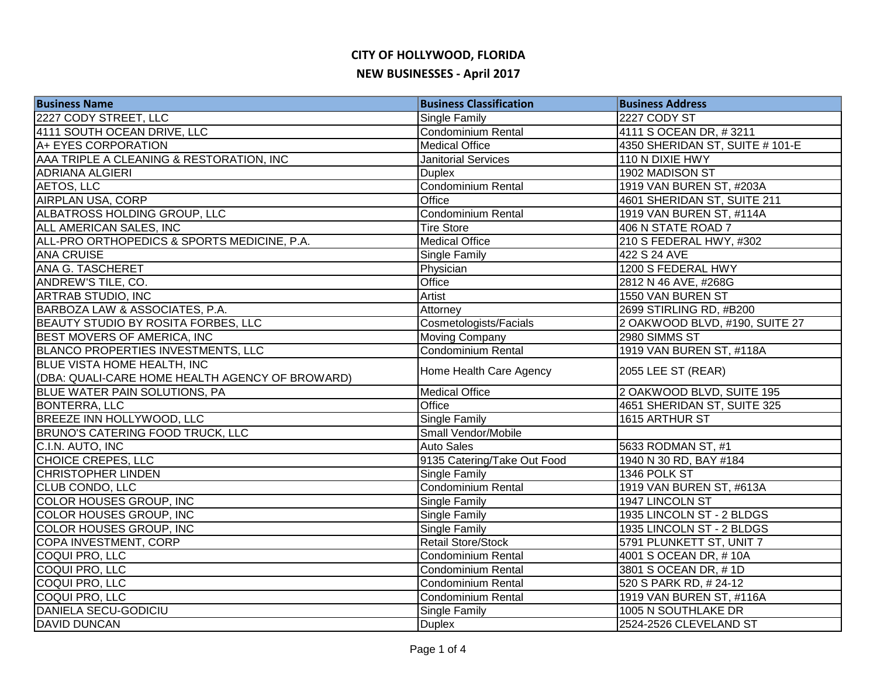| <b>Business Name</b>                            | <b>Business Classification</b> | <b>Business Address</b>         |
|-------------------------------------------------|--------------------------------|---------------------------------|
| 2227 CODY STREET, LLC                           | Single Family                  | 2227 CODY ST                    |
| 4111 SOUTH OCEAN DRIVE, LLC                     | <b>Condominium Rental</b>      | 4111 S OCEAN DR, #3211          |
| A+ EYES CORPORATION                             | <b>Medical Office</b>          | 4350 SHERIDAN ST, SUITE # 101-E |
| AAA TRIPLE A CLEANING & RESTORATION, INC        | <b>Janitorial Services</b>     | 110 N DIXIE HWY                 |
| <b>ADRIANA ALGIERI</b>                          | <b>Duplex</b>                  | 1902 MADISON ST                 |
| AETOS, LLC                                      | Condominium Rental             | 1919 VAN BUREN ST, #203A        |
| <b>AIRPLAN USA, CORP</b>                        | Office                         | 4601 SHERIDAN ST, SUITE 211     |
| ALBATROSS HOLDING GROUP, LLC                    | Condominium Rental             | 1919 VAN BUREN ST, #114A        |
| ALL AMERICAN SALES, INC                         | <b>Tire Store</b>              | 406 N STATE ROAD 7              |
| ALL-PRO ORTHOPEDICS & SPORTS MEDICINE, P.A.     | <b>Medical Office</b>          | 210 S FEDERAL HWY, #302         |
| <b>ANA CRUISE</b>                               | Single Family                  | 422 S 24 AVE                    |
| ANA G. TASCHERET                                | Physician                      | 1200 S FEDERAL HWY              |
| ANDREW'S TILE, CO.                              | Office                         | 2812 N 46 AVE, #268G            |
| ARTRAB STUDIO, INC                              | Artist                         | 1550 VAN BUREN ST               |
| BARBOZA LAW & ASSOCIATES, P.A.                  | Attorney                       | 2699 STIRLING RD, #B200         |
| BEAUTY STUDIO BY ROSITA FORBES, LLC             | Cosmetologists/Facials         | 2 OAKWOOD BLVD, #190, SUITE 27  |
| BEST MOVERS OF AMERICA, INC                     | <b>Moving Company</b>          | 2980 SIMMS ST                   |
| <b>BLANCO PROPERTIES INVESTMENTS, LLC</b>       | Condominium Rental             | 1919 VAN BUREN ST, #118A        |
| <b>BLUE VISTA HOME HEALTH, INC</b>              | Home Health Care Agency        | 2055 LEE ST (REAR)              |
| (DBA: QUALI-CARE HOME HEALTH AGENCY OF BROWARD) |                                |                                 |
| <b>BLUE WATER PAIN SOLUTIONS, PA</b>            | Medical Office                 | 2 OAKWOOD BLVD, SUITE 195       |
| <b>BONTERRA, LLC</b>                            | Office                         | 4651 SHERIDAN ST, SUITE 325     |
| BREEZE INN HOLLYWOOD, LLC                       | <b>Single Family</b>           | 1615 ARTHUR ST                  |
| BRUNO'S CATERING FOOD TRUCK, LLC                | Small Vendor/Mobile            |                                 |
| C.I.N. AUTO, INC                                | <b>Auto Sales</b>              | 5633 RODMAN ST, #1              |
| <b>CHOICE CREPES, LLC</b>                       | 9135 Catering/Take Out Food    | 1940 N 30 RD, BAY #184          |
| <b>CHRISTOPHER LINDEN</b>                       | Single Family                  | 1346 POLK ST                    |
| <b>CLUB CONDO, LLC</b>                          | Condominium Rental             | 1919 VAN BUREN ST, #613A        |
| COLOR HOUSES GROUP, INC                         | Single Family                  | 1947 LINCOLN ST                 |
| COLOR HOUSES GROUP, INC                         | Single Family                  | 1935 LINCOLN ST - 2 BLDGS       |
| COLOR HOUSES GROUP, INC                         | Single Family                  | 1935 LINCOLN ST - 2 BLDGS       |
| COPA INVESTMENT, CORP                           | Retail Store/Stock             | 5791 PLUNKETT ST, UNIT 7        |
| COQUI PRO, LLC                                  | Condominium Rental             | 4001 S OCEAN DR, #10A           |
| COQUI PRO, LLC                                  | <b>Condominium Rental</b>      | 3801 S OCEAN DR, #1D            |
| COQUI PRO, LLC                                  | Condominium Rental             | 520 S PARK RD, #24-12           |
| COQUI PRO, LLC                                  | Condominium Rental             | 1919 VAN BUREN ST, #116A        |
| <b>DANIELA SECU-GODICIU</b>                     | Single Family                  | 1005 N SOUTHLAKE DR             |
| <b>DAVID DUNCAN</b>                             | <b>Duplex</b>                  | 2524-2526 CLEVELAND ST          |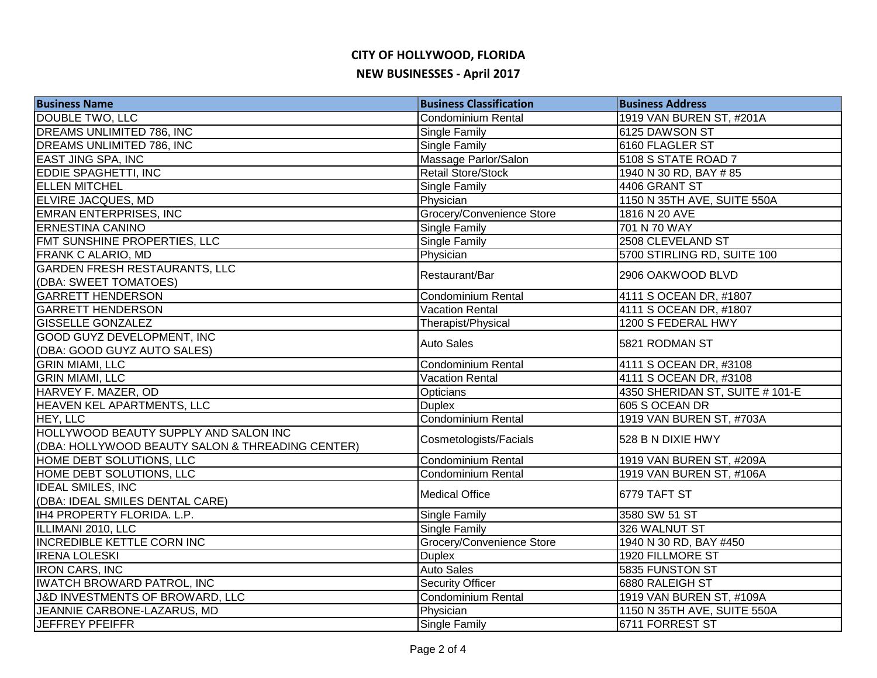| <b>Business Name</b>                             | <b>Business Classification</b> | <b>Business Address</b>         |
|--------------------------------------------------|--------------------------------|---------------------------------|
| DOUBLE TWO, LLC                                  | <b>Condominium Rental</b>      | 1919 VAN BUREN ST, #201A        |
| DREAMS UNLIMITED 786, INC                        | Single Family                  | 6125 DAWSON ST                  |
| <b>DREAMS UNLIMITED 786, INC</b>                 | <b>Single Family</b>           | 6160 FLAGLER ST                 |
| <b>EAST JING SPA, INC</b>                        | Massage Parlor/Salon           | 5108 S STATE ROAD 7             |
| <b>EDDIE SPAGHETTI, INC</b>                      | Retail Store/Stock             | 1940 N 30 RD, BAY # 85          |
| <b>ELLEN MITCHEL</b>                             | <b>Single Family</b>           | 4406 GRANT ST                   |
| ELVIRE JACQUES, MD                               | Physician                      | 1150 N 35TH AVE, SUITE 550A     |
| <b>EMRAN ENTERPRISES, INC</b>                    | Grocery/Convenience Store      | 1816 N 20 AVE                   |
| <b>ERNESTINA CANINO</b>                          | <b>Single Family</b>           | 701 N 70 WAY                    |
| FMT SUNSHINE PROPERTIES, LLC                     | Single Family                  | 2508 CLEVELAND ST               |
| <b>FRANK C ALARIO, MD</b>                        | Physician                      | 5700 STIRLING RD, SUITE 100     |
| <b>GARDEN FRESH RESTAURANTS, LLC</b>             | Restaurant/Bar                 | 2906 OAKWOOD BLVD               |
| (DBA: SWEET TOMATOES)                            |                                |                                 |
| <b>GARRETT HENDERSON</b>                         | Condominium Rental             | 4111 S OCEAN DR, #1807          |
| <b>GARRETT HENDERSON</b>                         | <b>Vacation Rental</b>         | 4111 S OCEAN DR, #1807          |
| <b>GISSELLE GONZALEZ</b>                         | Therapist/Physical             | 1200 S FEDERAL HWY              |
| <b>GOOD GUYZ DEVELOPMENT, INC</b>                | <b>Auto Sales</b>              | 5821 RODMAN ST                  |
| (DBA: GOOD GUYZ AUTO SALES)                      |                                |                                 |
| <b>GRIN MIAMI, LLC</b>                           | Condominium Rental             | 4111 S OCEAN DR, #3108          |
| <b>GRIN MIAMI, LLC</b>                           | <b>Vacation Rental</b>         | 4111 S OCEAN DR, #3108          |
| HARVEY F. MAZER, OD                              | <b>Opticians</b>               | 4350 SHERIDAN ST, SUITE # 101-E |
| <b>HEAVEN KEL APARTMENTS, LLC</b>                | <b>Duplex</b>                  | 605 S OCEAN DR                  |
| <b>HEY, LLC</b>                                  | <b>Condominium Rental</b>      | 1919 VAN BUREN ST, #703A        |
| <b>HOLLYWOOD BEAUTY SUPPLY AND SALON INC</b>     | Cosmetologists/Facials         | 528 B N DIXIE HWY               |
| (DBA: HOLLYWOOD BEAUTY SALON & THREADING CENTER) |                                |                                 |
| HOME DEBT SOLUTIONS, LLC                         | <b>Condominium Rental</b>      | 1919 VAN BUREN ST, #209A        |
| HOME DEBT SOLUTIONS, LLC                         | Condominium Rental             | 1919 VAN BUREN ST, #106A        |
| <b>IDEAL SMILES, INC</b>                         | <b>Medical Office</b>          | 6779 TAFT ST                    |
| (DBA: IDEAL SMILES DENTAL CARE)                  |                                |                                 |
| IH4 PROPERTY FLORIDA. L.P.                       | Single Family                  | 3580 SW 51 ST                   |
| ILLIMANI 2010, LLC                               | Single Family                  | 326 WALNUT ST                   |
| <b>INCREDIBLE KETTLE CORN INC</b>                | Grocery/Convenience Store      | 1940 N 30 RD, BAY #450          |
| <b>IRENA LOLESKI</b>                             | <b>Duplex</b>                  | 1920 FILLMORE ST                |
| <b>IRON CARS, INC</b>                            | <b>Auto Sales</b>              | 5835 FUNSTON ST                 |
| <b>IWATCH BROWARD PATROL, INC</b>                | <b>Security Officer</b>        | 6880 RALEIGH ST                 |
| J&D INVESTMENTS OF BROWARD, LLC                  | Condominium Rental             | 1919 VAN BUREN ST, #109A        |
| JEANNIE CARBONE-LAZARUS, MD                      | Physician                      | 1150 N 35TH AVE, SUITE 550A     |
| <b>JEFFREY PFEIFFR</b>                           | <b>Single Family</b>           | 6711 FORREST ST                 |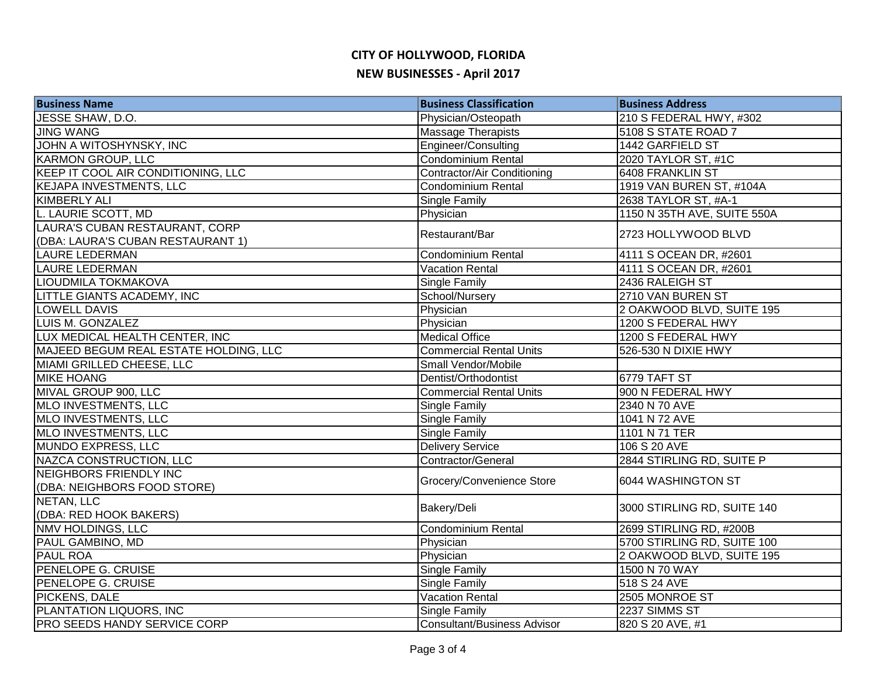| <b>Business Name</b>                  | <b>Business Classification</b>     | <b>Business Address</b>     |
|---------------------------------------|------------------------------------|-----------------------------|
| JESSE SHAW, D.O.                      | Physician/Osteopath                | 210 S FEDERAL HWY, #302     |
| <b>JING WANG</b>                      | <b>Massage Therapists</b>          | 5108 S STATE ROAD 7         |
| JOHN A WITOSHYNSKY, INC               | Engineer/Consulting                | 1442 GARFIELD ST            |
| <b>KARMON GROUP, LLC</b>              | <b>Condominium Rental</b>          | 2020 TAYLOR ST, #1C         |
| KEEP IT COOL AIR CONDITIONING, LLC    | Contractor/Air Conditioning        | 6408 FRANKLIN ST            |
| <b>KEJAPA INVESTMENTS, LLC</b>        | Condominium Rental                 | 1919 VAN BUREN ST, #104A    |
| KIMBERLY ALI                          | <b>Single Family</b>               | 2638 TAYLOR ST, #A-1        |
| L. LAURIE SCOTT, MD                   | Physician                          | 1150 N 35TH AVE, SUITE 550A |
| LAURA'S CUBAN RESTAURANT, CORP        | Restaurant/Bar                     | 2723 HOLLYWOOD BLVD         |
| (DBA: LAURA'S CUBAN RESTAURANT 1)     |                                    |                             |
| <b>LAURE LEDERMAN</b>                 | <b>Condominium Rental</b>          | 4111 S OCEAN DR, #2601      |
| <b>LAURE LEDERMAN</b>                 | <b>Vacation Rental</b>             | 4111 S OCEAN DR, #2601      |
| LIOUDMILA TOKMAKOVA                   | Single Family                      | 2436 RALEIGH ST             |
| LITTLE GIANTS ACADEMY, INC            | School/Nursery                     | 2710 VAN BUREN ST           |
| <b>LOWELL DAVIS</b>                   | Physician                          | 2 OAKWOOD BLVD, SUITE 195   |
| <b>LUIS M. GONZALEZ</b>               | Physician                          | 1200 S FEDERAL HWY          |
| LUX MEDICAL HEALTH CENTER, INC        | <b>Medical Office</b>              | 1200 S FEDERAL HWY          |
| MAJEED BEGUM REAL ESTATE HOLDING, LLC | <b>Commercial Rental Units</b>     | 526-530 N DIXIE HWY         |
| MIAMI GRILLED CHEESE, LLC             | Small Vendor/Mobile                |                             |
| <b>MIKE HOANG</b>                     | Dentist/Orthodontist               | 6779 TAFT ST                |
| MIVAL GROUP 900, LLC                  | <b>Commercial Rental Units</b>     | 900 N FEDERAL HWY           |
| MLO INVESTMENTS, LLC                  | <b>Single Family</b>               | 2340 N 70 AVE               |
| MLO INVESTMENTS, LLC                  | <b>Single Family</b>               | 1041 N 72 AVE               |
| MLO INVESTMENTS, LLC                  | <b>Single Family</b>               | 1101 N 71 TER               |
| <b>MUNDO EXPRESS, LLC</b>             | Delivery Service                   | 106 S 20 AVE                |
| NAZCA CONSTRUCTION, LLC               | Contractor/General                 | 2844 STIRLING RD, SUITE P   |
| <b>NEIGHBORS FRIENDLY INC</b>         | Grocery/Convenience Store          | 6044 WASHINGTON ST          |
| (DBA: NEIGHBORS FOOD STORE)           |                                    |                             |
| <b>NETAN, LLC</b>                     | Bakery/Deli                        | 3000 STIRLING RD, SUITE 140 |
| (DBA: RED HOOK BAKERS)                |                                    |                             |
| <b>NMV HOLDINGS, LLC</b>              | Condominium Rental                 | 2699 STIRLING RD, #200B     |
| PAUL GAMBINO, MD                      | Physician                          | 5700 STIRLING RD, SUITE 100 |
| <b>PAUL ROA</b>                       | Physician                          | 2 OAKWOOD BLVD, SUITE 195   |
| PENELOPE G. CRUISE                    | <b>Single Family</b>               | 1500 N 70 WAY               |
| PENELOPE G. CRUISE                    | <b>Single Family</b>               | 518 S 24 AVE                |
| PICKENS, DALE                         | <b>Vacation Rental</b>             | 2505 MONROE ST              |
| PLANTATION LIQUORS, INC               | <b>Single Family</b>               | 2237 SIMMS ST               |
| <b>PRO SEEDS HANDY SERVICE CORP</b>   | <b>Consultant/Business Advisor</b> | 820 S 20 AVE, #1            |